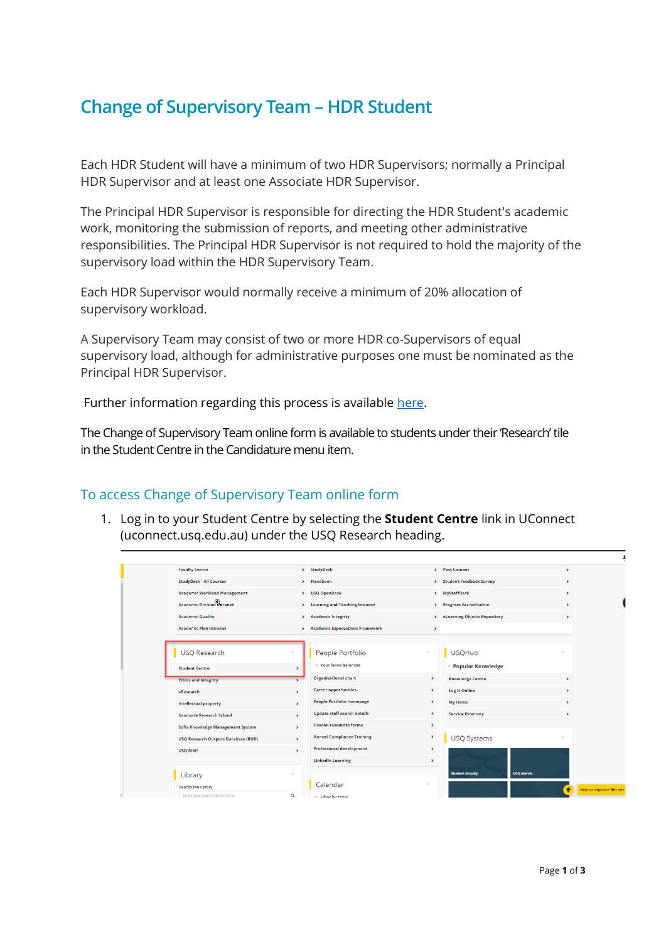## **Change of Supervisory Team – HDR Student**

Each HDR Student will have a minimum of two HDR Supervisors; normally a Principal HDR Supervisor and at least one Associate HDR Supervisor.

The Principal HDR Supervisor is responsible for directing the HDR Student's academic work, monitoring the submission of reports, and meeting other administrative responsibilities. The Principal HDR Supervisor is not required to hold the majority of the supervisory load within the HDR Supervisory Team.

Each HDR Supervisor would normally receive a minimum of 20% allocation of supervisory workload.

A Supervisory Team may consist of two or more HDR co-Supervisors of equal supervisory load, although for administrative purposes one must be nominated as the Principal HDR Supervisor.

Further information regarding this process is available [here.](https://www.usq.edu.au/research/graduate-research-school/current-hdr-students/managing-candidature/candidature)

The Change of Supervisory Team online form is available to students under their 'Research' tile in the Student Centre in the Candidature menu item.

## To access Change of Supervisory Team online form

1. Log in to your Student Centre by selecting the **Student Centre** link in UConnect (uconnect.usq.edu.au) under the USQ Research heading.

| <b>Faculty Centre</b>                      |                            | > StudyDesk                                 |                       | > Past Courses                             | $\rightarrow$               |                           |
|--------------------------------------------|----------------------------|---------------------------------------------|-----------------------|--------------------------------------------|-----------------------------|---------------------------|
| <b>StudyDesk - All Courses</b>             |                            | > Handbook                                  |                       | > Student Feedback Survey                  | $\rightarrow$               |                           |
| <b>Academic Workload Management</b>        |                            | > USQ OpenDesk                              |                       | > MyStaffDesk                              | $\blacktriangleright$       |                           |
| <b>Academic Division Theranet</b>          |                            | > Learning and Teaching Intranet            |                       | > Program Accreditation                    | $\rightarrow$               |                           |
| <b>Academic Quality</b>                    |                            | <b>Academic Integrity</b><br>$\overline{ }$ |                       | > eLearning Objects Repository             | $\rightarrow$               |                           |
| <b>Academic Plan Intranet</b>              |                            | > Academic Expectations Framework           | ×                     |                                            |                             |                           |
|                                            |                            |                                             |                       |                                            |                             |                           |
| <b>USQ Research</b>                        | ×.                         | People Portfolio                            | $\mathcal{S}_\lambda$ | <b>USQHub</b>                              | $\sim$                      |                           |
| <b>Student Centre</b>                      | $\rightarrow$              | A Your leave balances                       |                       | <b>v Popular Knowledge</b>                 |                             |                           |
| <b>Ethics and integrity</b>                |                            | <b>Organisational chart</b>                 | $\blacktriangleright$ | <b>Knowledge Centre</b>                    | $\rightarrow$               |                           |
| eResearch                                  | $\rightarrow$              | <b>Career opportunities</b>                 | $\rightarrow$         | <b>Log It Online</b>                       | $\rightarrow$               |                           |
| <b>Intellectual property</b>               | $\rightarrow$              | <b>People Portfolio homepage</b>            | $\mathbf{\hat{}}$     | <b>My Items</b>                            | $\rightarrow$               |                           |
| <b>Graduate Research School</b>            | $\rightarrow$              | <b>Update staff search details</b>          | $\rightarrow$         | <b>Service Directory</b>                   | $\rightarrow$               |                           |
| Sofia Knowledge Management System          | $\rightarrow$              | <b>Human resources forms</b>                | $\,$                  |                                            |                             |                           |
| <b>USQ Research Outputs Database (ROD)</b> | $\rightarrow$              | <b>Annual Compliance Training</b>           | $\blacktriangleright$ | <b>USQ Systems</b>                         | $\mathcal{L}_{\mathcal{N}}$ |                           |
| <b>USO RIMS</b>                            | $\,$                       | <b>Professional development</b>             | $\mathbf{\hat{}}$     |                                            |                             |                           |
|                                            |                            | <b>LinkedIn Learning</b>                    | ٠                     |                                            |                             |                           |
| Library                                    | $\mathcal{N}_{\mathrm{b}}$ |                                             |                       | <b>USQ Admin</b><br><b>Student Enquiry</b> |                             |                           |
| <b>Search the library</b>                  |                            | Calendar                                    |                       |                                            | $\ddot{\bullet}$            | Help us improve this site |
| Enter your search terms here.              | Q                          | <b>See Filter by tonic</b>                  |                       |                                            |                             |                           |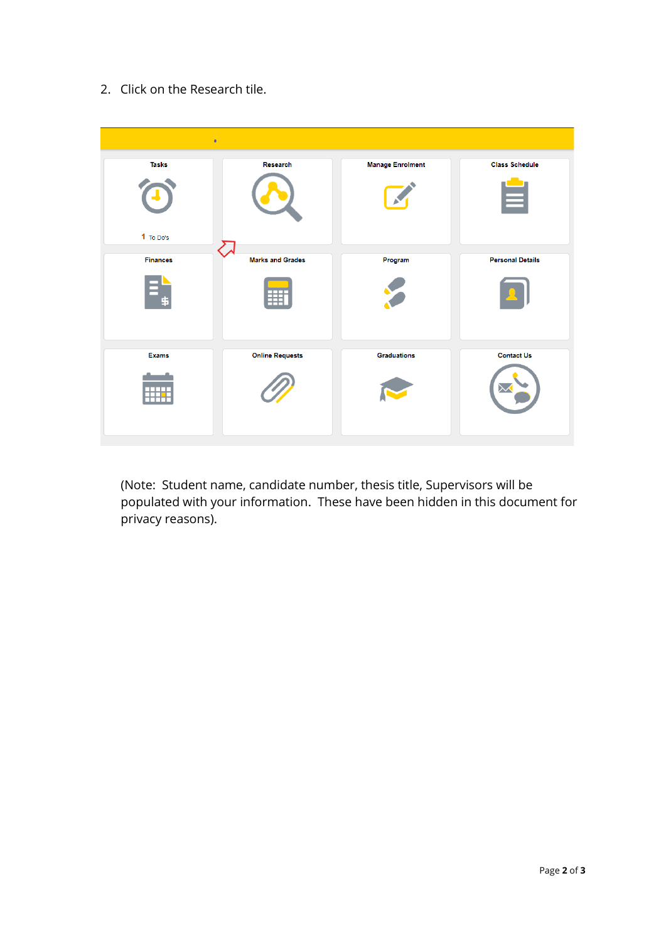2. Click on the Research tile.



(Note: Student name, candidate number, thesis title, Supervisors will be populated with your information. These have been hidden in this document for privacy reasons).